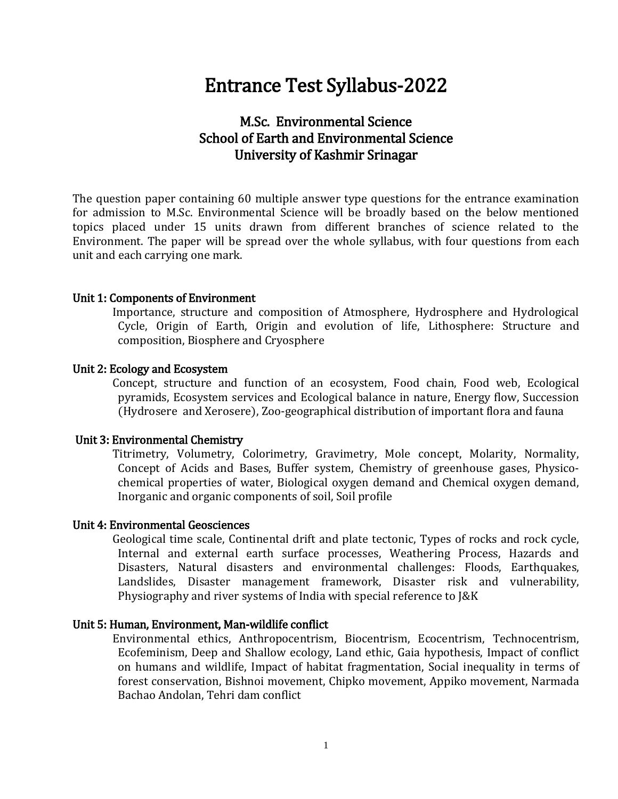# Entrance Test Syllabus-2022

# M.Sc. Environmental Science School of Earth and Environmental Science University of Kashmir Srinagar

The question paper containing 60 multiple answer type questions for the entrance examination for admission to M.Sc. Environmental Science will be broadly based on the below mentioned topics placed under 15 units drawn from different branches of science related to the Environment. The paper will be spread over the whole syllabus, with four questions from each unit and each carrying one mark.

#### Unit 1: Components of Environment

 Importance, structure and composition of Atmosphere, Hydrosphere and Hydrological Cycle, Origin of Earth, Origin and evolution of life, Lithosphere: Structure and composition, Biosphere and Cryosphere

## Unit 2: Ecology and Ecosystem

 Concept, structure and function of an ecosystem, Food chain, Food web, Ecological pyramids, Ecosystem services and Ecological balance in nature, Energy flow, Succession (Hydrosere and Xerosere), Zoo-geographical distribution of important flora and fauna

# Unit 3: Environmental Chemistry

 Titrimetry, Volumetry, Colorimetry, Gravimetry, Mole concept, Molarity, Normality, Concept of Acids and Bases, Buffer system, Chemistry of greenhouse gases, Physicochemical properties of water, Biological oxygen demand and Chemical oxygen demand, Inorganic and organic components of soil, Soil profile

#### Unit 4: Environmental Geosciences

 Geological time scale, Continental drift and plate tectonic, Types of rocks and rock cycle, Internal and external earth surface processes, Weathering Process, Hazards and Disasters, Natural disasters and environmental challenges: Floods, Earthquakes, Landslides, Disaster management framework, Disaster risk and vulnerability, Physiography and river systems of India with special reference to J&K

#### Unit 5: Human, Environment, Man-wildlife conflict

 Environmental ethics, Anthropocentrism, Biocentrism, Ecocentrism, Technocentrism, Ecofeminism, Deep and Shallow ecology, Land ethic, Gaia hypothesis, Impact of conflict on humans and wildlife, Impact of habitat fragmentation, Social inequality in terms of forest conservation, Bishnoi movement, Chipko movement, Appiko movement, Narmada Bachao Andolan, Tehri dam conflict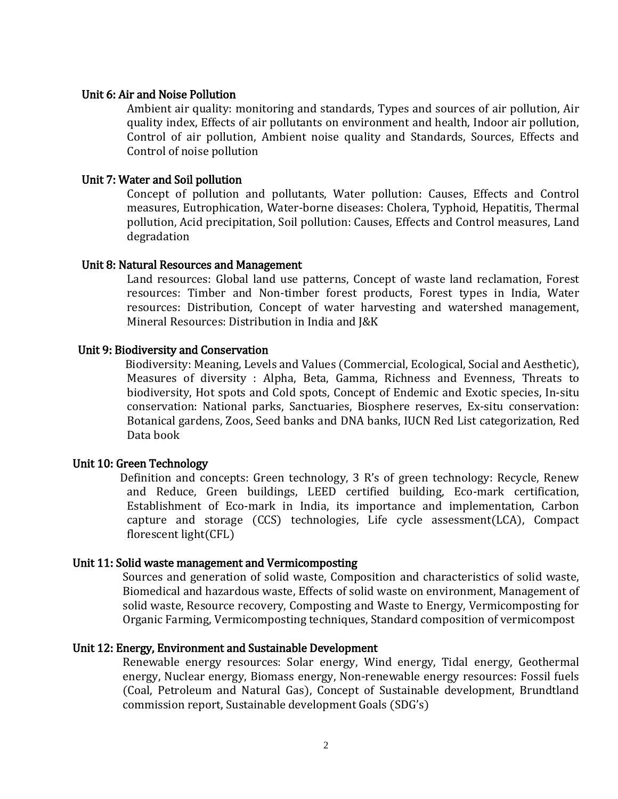# Unit 6: Air and Noise Pollution

Ambient air quality: monitoring and standards, Types and sources of air pollution, Air quality index, Effects of air pollutants on environment and health, Indoor air pollution, Control of air pollution, Ambient noise quality and Standards, Sources, Effects and Control of noise pollution

## Unit 7: Water and Soil pollution

Concept of pollution and pollutants, Water pollution: Causes, Effects and Control measures, Eutrophication, Water-borne diseases: Cholera, Typhoid, Hepatitis, Thermal pollution, Acid precipitation, Soil pollution: Causes, Effects and Control measures, Land degradation

# Unit 8: Natural Resources and Management

Land resources: Global land use patterns, Concept of waste land reclamation, Forest resources: Timber and Non-timber forest products, Forest types in India, Water resources: Distribution, Concept of water harvesting and watershed management, Mineral Resources: Distribution in India and J&K

# Unit 9: Biodiversity and Conservation

 Biodiversity: Meaning, Levels and Values (Commercial, Ecological, Social and Aesthetic), Measures of diversity : Alpha, Beta, Gamma, Richness and Evenness, Threats to biodiversity, Hot spots and Cold spots, Concept of Endemic and Exotic species, In-situ conservation: National parks, Sanctuaries, Biosphere reserves, Ex-situ conservation: Botanical gardens, Zoos, Seed banks and DNA banks, IUCN Red List categorization, Red Data book

#### Unit 10: Green Technology

 Definition and concepts: Green technology, 3 R's of green technology: Recycle, Renew and Reduce, Green buildings, LEED certified building, Eco-mark certification, Establishment of Eco-mark in India, its importance and implementation, Carbon capture and storage (CCS) technologies, Life cycle assessment(LCA), Compact florescent light(CFL)

#### Unit 11: Solid waste management and Vermicomposting

Sources and generation of solid waste, Composition and characteristics of solid waste, Biomedical and hazardous waste, Effects of solid waste on environment, Management of solid waste, Resource recovery, Composting and Waste to Energy, Vermicomposting for Organic Farming, Vermicomposting techniques, Standard composition of vermicompost

#### Unit 12: Energy, Environment and Sustainable Development

Renewable energy resources: Solar energy, Wind energy, Tidal energy, Geothermal energy, Nuclear energy, Biomass energy, Non-renewable energy resources: Fossil fuels (Coal, Petroleum and Natural Gas), Concept of Sustainable development, Brundtland commission report, Sustainable development Goals (SDG's)